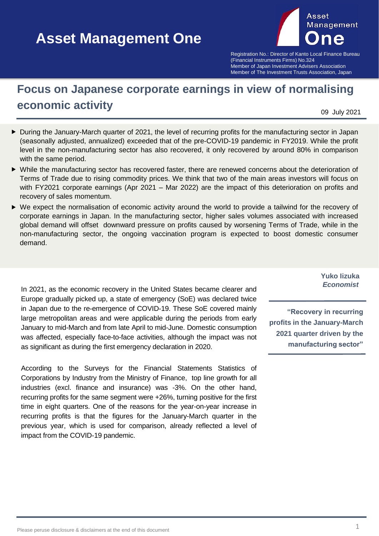# **Asset Management One Asset Management One**



Registration No.: Director of Kanto Local Finance Bureau (Financial Instruments Firms) No.324 Member of Japan Investment Advisers Association Member of The Investment Trusts Association, Japan

## **Focus on Japanese corporate earnings in view of normalising economic activity**

09 July 2021

- During the January-March quarter of 2021, the level of recurring profits for the manufacturing sector in Japan (seasonally adjusted, annualized) exceeded that of the pre-COVID-19 pandemic in FY2019. While the profit level in the non-manufacturing sector has also recovered, it only recovered by around 80% in comparison with the same period.
- While the manufacturing sector has recovered faster, there are renewed concerns about the deterioration of Terms of Trade due to rising commodity prices. We think that two of the main areas investors will focus on with FY2021 corporate earnings (Apr 2021 – Mar 2022) are the impact of this deterioration on profits and recovery of sales momentum.
- We expect the normalisation of economic activity around the world to provide a tailwind for the recovery of corporate earnings in Japan. In the manufacturing sector, higher sales volumes associated with increased global demand will offset downward pressure on profits caused by worsening Terms of Trade, while in the non-manufacturing sector, the ongoing vaccination program is expected to boost domestic consumer demand.

In 2021, as the economic recovery in the United States became clearer and Europe gradually picked up, a state of emergency (SoE) was declared twice in Japan due to the re-emergence of COVID-19. These SoE covered mainly large metropolitan areas and were applicable during the periods from early January to mid-March and from late April to mid-June. Domestic consumption was affected, especially face-to-face activities, although the impact was not as significant as during the first emergency declaration in 2020.

According to the Surveys for the Financial Statements Statistics of Corporations by Industry from the Ministry of Finance, top line growth for all industries (excl. finance and insurance) was -3%. On the other hand, recurring profits for the same segment were +26%, turning positive for the first time in eight quarters. One of the reasons for the year-on-year increase in recurring profits is that the figures for the January-March quarter in the previous year, which is used for comparison, already reflected a level of impact from the COVID-19 pandemic.

**Yuko Iizuka** *Economist*

**"Recovery in recurring profits in the January-March 2021 quarter driven by the manufacturing sector"**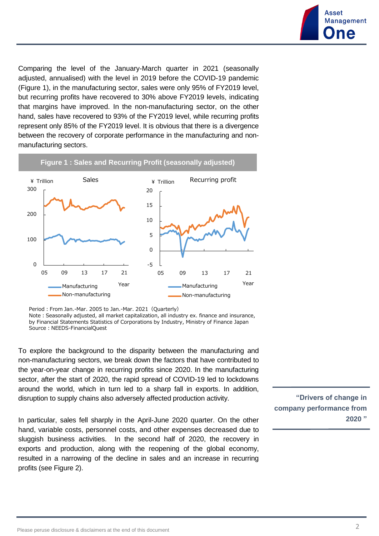

Comparing the level of the January-March quarter in 2021 (seasonally adjusted, annualised) with the level in 2019 before the COVID-19 pandemic (Figure 1), in the manufacturing sector, sales were only 95% of FY2019 level, but recurring profits have recovered to 30% above FY2019 levels, indicating that margins have improved. In the non-manufacturing sector, on the other hand, sales have recovered to 93% of the FY2019 level, while recurring profits represent only 85% of the FY2019 level. It is obvious that there is a divergence between the recovery of corporate performance in the manufacturing and nonmanufacturing sectors.

#### **Figure 1 : Sales and Recurring Profit (seasonally adjusted)**



Period: From Jan.-Mar. 2005 to Jan.-Mar. 2021 (Quarterly)

Note: Seasonally adjusted, all market capitalization, all industry ex. finance and insurance, by Financial Statements Statistics of Corporations by Industry, Ministry of Finance Japan Source: NEEDS-FinancialQuest

To explore the background to the disparity between the manufacturing and non-manufacturing sectors, we break down the factors that have contributed to the year-on-year change in recurring profits since 2020. In the manufacturing sector, after the start of 2020, the rapid spread of COVID-19 led to lockdowns around the world, which in turn led to a sharp fall in exports. In addition, disruption to supply chains also adversely affected production activity.

In particular, sales fell sharply in the April-June 2020 quarter. On the other hand, variable costs, personnel costs, and other expenses decreased due to sluggish business activities. In the second half of 2020, the recovery in exports and production, along with the reopening of the global economy, resulted in a narrowing of the decline in sales and an increase in recurring profits (see Figure 2).

**"Drivers of change in company performance from 2020 "**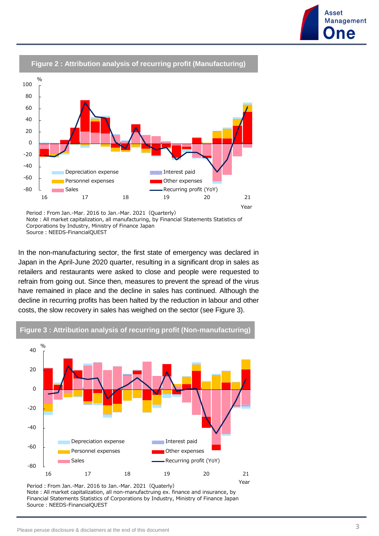

#### **Figure 2 : Attribution analysis of recurring profit (Manufacturing)**

Period: From Jan.-Mar. 2016 to Jan.-Mar. 2021 (Quarterly) Note: All market capitalization, all manufacturing, by Financial Statements Statistics of Corporations by Industry, Ministry of Finance Japan Source: NEEDS-FinancialQUEST

In the non-manufacturing sector, the first state of emergency was declared in Japan in the April-June 2020 quarter, resulting in a significant drop in sales as retailers and restaurants were asked to close and people were requested to refrain from going out. Since then, measures to prevent the spread of the virus have remained in place and the decline in sales has continued. Although the decline in recurring profits has been halted by the reduction in labour and other costs, the slow recovery in sales has weighed on the sector (see Figure 3).



#### **Figure 3 : Attribution analysis of recurring profit (Non-manufacturing)**

Period: From Jan.-Mar. 2016 to Jan.-Mar. 2021 (Quaterly) Note:All market capitalization, all non-manufactruing ex. finance and insurance, by Financial Statements Statistics of Corporations by Industry, Ministry of Finance Japan Source: NEEDS-FinancialQUEST

**Asset** 

**Management** ne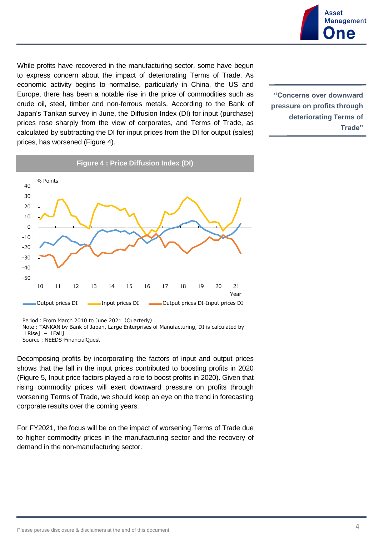

While profits have recovered in the manufacturing sector, some have begun to express concern about the impact of deteriorating Terms of Trade. As economic activity begins to normalise, particularly in China, the US and Europe, there has been a notable rise in the price of commodities such as crude oil, steel, timber and non-ferrous metals. According to the Bank of Japan's Tankan survey in June, the Diffusion Index (DI) for input (purchase) prices rose sharply from the view of corporates, and Terms of Trade, as calculated by subtracting the DI for input prices from the DI for output (sales) prices, has worsened (Figure 4).

**"Concerns over downward pressure on profits through deteriorating Terms of Trade"** 



Period: From March 2010 to June 2021 (Quarterly)

Source: NEEDS-FinancialOuest

Decomposing profits by incorporating the factors of input and output prices shows that the fall in the input prices contributed to boosting profits in 2020 (Figure 5, Input price factors played a role to boost profits in 2020). Given that rising commodity prices will exert downward pressure on profits through worsening Terms of Trade, we should keep an eye on the trend in forecasting corporate results over the coming years.

For FY2021, the focus will be on the impact of worsening Terms of Trade due to higher commodity prices in the manufacturing sector and the recovery of demand in the non-manufacturing sector.

Note:TANKAN by Bank of Japan, Large Enterprises of Manufacturing, DI is calculated by 「Rise」-「Fall」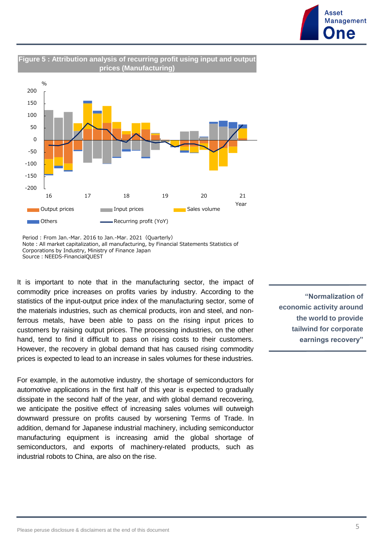



Period : From Jan.-Mar. 2016 to Jan.-Mar. 2021 (Quarterly) Note: All market capitalization, all manufacturing, by Financial Statements Statistics of Corporations by Industry, Ministry of Finance Japan Source: NEEDS-FinancialQUEST

It is important to note that in the manufacturing sector, the impact of commodity price increases on profits varies by industry. According to the statistics of the input-output price index of the manufacturing sector, some of the materials industries, such as chemical products, iron and steel, and nonferrous metals, have been able to pass on the rising input prices to customers by raising output prices. The processing industries, on the other hand, tend to find it difficult to pass on rising costs to their customers. However, the recovery in global demand that has caused rising commodity prices is expected to lead to an increase in sales volumes for these industries.

For example, in the automotive industry, the shortage of semiconductors for automotive applications in the first half of this year is expected to gradually dissipate in the second half of the year, and with global demand recovering, we anticipate the positive effect of increasing sales volumes will outweigh downward pressure on profits caused by worsening Terms of Trade. In addition, demand for Japanese industrial machinery, including semiconductor manufacturing equipment is increasing amid the global shortage of semiconductors, and exports of machinery-related products, such as industrial robots to China, are also on the rise.

**"Normalization of economic activity around the world to provide tailwind for corporate earnings recovery"**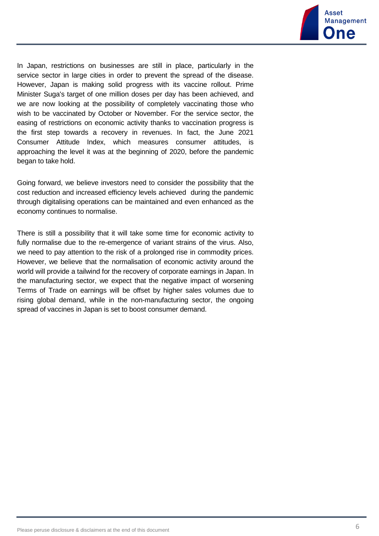

In Japan, restrictions on businesses are still in place, particularly in the service sector in large cities in order to prevent the spread of the disease. However, Japan is making solid progress with its vaccine rollout. Prime Minister Suga's target of one million doses per day has been achieved, and we are now looking at the possibility of completely vaccinating those who wish to be vaccinated by October or November. For the service sector, the easing of restrictions on economic activity thanks to vaccination progress is the first step towards a recovery in revenues. In fact, the June 2021 Consumer Attitude Index, which measures consumer attitudes, is approaching the level it was at the beginning of 2020, before the pandemic began to take hold.

Going forward, we believe investors need to consider the possibility that the cost reduction and increased efficiency levels achieved during the pandemic through digitalising operations can be maintained and even enhanced as the economy continues to normalise.

There is still a possibility that it will take some time for economic activity to fully normalise due to the re-emergence of variant strains of the virus. Also, we need to pay attention to the risk of a prolonged rise in commodity prices. However, we believe that the normalisation of economic activity around the world will provide a tailwind for the recovery of corporate earnings in Japan. In the manufacturing sector, we expect that the negative impact of worsening Terms of Trade on earnings will be offset by higher sales volumes due to rising global demand, while in the non-manufacturing sector, the ongoing spread of vaccines in Japan is set to boost consumer demand.